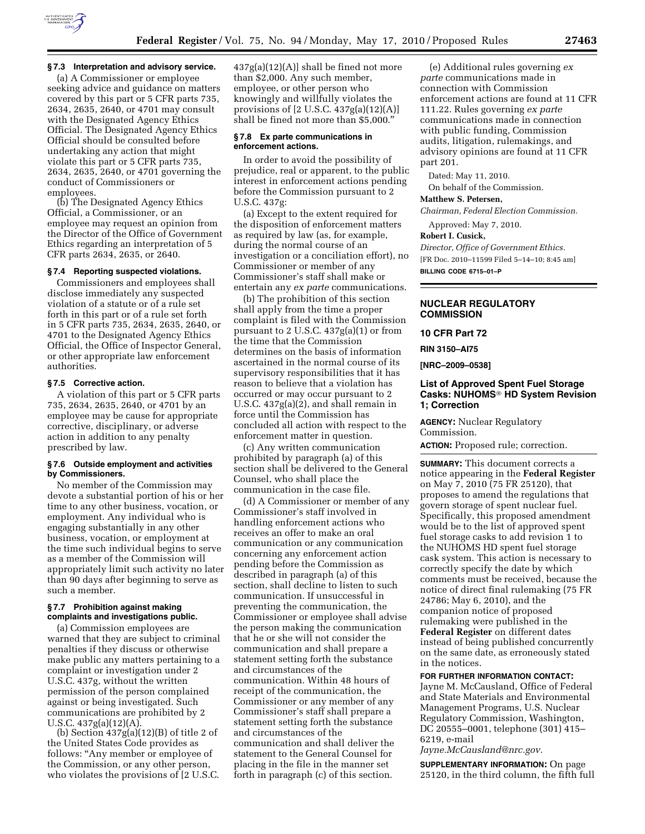

# **§ 7.3 Interpretation and advisory service.**

(a) A Commissioner or employee seeking advice and guidance on matters covered by this part or 5 CFR parts 735, 2634, 2635, 2640, or 4701 may consult with the Designated Agency Ethics Official. The Designated Agency Ethics Official should be consulted before undertaking any action that might violate this part or 5 CFR parts 735, 2634, 2635, 2640, or 4701 governing the conduct of Commissioners or employees.

(b) The Designated Agency Ethics Official, a Commissioner, or an employee may request an opinion from the Director of the Office of Government Ethics regarding an interpretation of 5 CFR parts 2634, 2635, or 2640.

#### **§ 7.4 Reporting suspected violations.**

Commissioners and employees shall disclose immediately any suspected violation of a statute or of a rule set forth in this part or of a rule set forth in 5 CFR parts 735, 2634, 2635, 2640, or 4701 to the Designated Agency Ethics Official, the Office of Inspector General, or other appropriate law enforcement authorities.

## **§ 7.5 Corrective action.**

A violation of this part or 5 CFR parts 735, 2634, 2635, 2640, or 4701 by an employee may be cause for appropriate corrective, disciplinary, or adverse action in addition to any penalty prescribed by law.

### **§ 7.6 Outside employment and activities by Commissioners.**

No member of the Commission may devote a substantial portion of his or her time to any other business, vocation, or employment. Any individual who is engaging substantially in any other business, vocation, or employment at the time such individual begins to serve as a member of the Commission will appropriately limit such activity no later than 90 days after beginning to serve as such a member.

## **§ 7.7 Prohibition against making complaints and investigations public.**

(a) Commission employees are warned that they are subject to criminal penalties if they discuss or otherwise make public any matters pertaining to a complaint or investigation under 2 U.S.C. 437g, without the written permission of the person complained against or being investigated. Such communications are prohibited by 2 U.S.C. 437g(a)(12)(A).

(b) Section  $437g(a)(12)(B)$  of title 2 of the United States Code provides as follows: "Any member or employee of the Commission, or any other person, who violates the provisions of [2 U.S.C.

437g(a)(12)(A)] shall be fined not more than \$2,000. Any such member, employee, or other person who knowingly and willfully violates the provisions of [2 U.S.C. 437g(a)(12)(A)] shall be fined not more than \$5,000.''

### **§ 7.8 Ex parte communications in enforcement actions.**

In order to avoid the possibility of prejudice, real or apparent, to the public interest in enforcement actions pending before the Commission pursuant to 2 U.S.C. 437g:

(a) Except to the extent required for the disposition of enforcement matters as required by law (as, for example, during the normal course of an investigation or a conciliation effort), no Commissioner or member of any Commissioner's staff shall make or entertain any *ex parte* communications.

(b) The prohibition of this section shall apply from the time a proper complaint is filed with the Commission pursuant to 2 U.S.C. 437g(a)(1) or from the time that the Commission determines on the basis of information ascertained in the normal course of its supervisory responsibilities that it has reason to believe that a violation has occurred or may occur pursuant to 2 U.S.C. 437g(a)(2), and shall remain in force until the Commission has concluded all action with respect to the enforcement matter in question.

(c) Any written communication prohibited by paragraph (a) of this section shall be delivered to the General Counsel, who shall place the communication in the case file.

(d) A Commissioner or member of any Commissioner's staff involved in handling enforcement actions who receives an offer to make an oral communication or any communication concerning any enforcement action pending before the Commission as described in paragraph (a) of this section, shall decline to listen to such communication. If unsuccessful in preventing the communication, the Commissioner or employee shall advise the person making the communication that he or she will not consider the communication and shall prepare a statement setting forth the substance and circumstances of the communication. Within 48 hours of receipt of the communication, the Commissioner or any member of any Commissioner's staff shall prepare a statement setting forth the substance and circumstances of the communication and shall deliver the statement to the General Counsel for placing in the file in the manner set forth in paragraph (c) of this section.

(e) Additional rules governing *ex parte* communications made in connection with Commission enforcement actions are found at 11 CFR 111.22. Rules governing *ex parte*  communications made in connection with public funding, Commission audits, litigation, rulemakings, and advisory opinions are found at 11 CFR part 201.

Dated: May 11, 2010. On behalf of the Commission.

#### **Matthew S. Petersen,**

*Chairman, Federal Election Commission.* 

Approved: May 7, 2010.

### **Robert I. Cusick,**

*Director, Office of Government Ethics.*  [FR Doc. 2010–11599 Filed 5–14–10; 8:45 am] **BILLING CODE 6715–01–P** 

### **NUCLEAR REGULATORY COMMISSION**

**10 CFR Part 72** 

**RIN 3150–AI75** 

**[NRC–2009–0538]** 

## **List of Approved Spent Fuel Storage Casks: NUHOMS**® **HD System Revision 1; Correction**

**AGENCY:** Nuclear Regulatory Commission.

**ACTION:** Proposed rule; correction.

**SUMMARY:** This document corrects a notice appearing in the **Federal Register**  on May 7, 2010 (75 FR 25120), that proposes to amend the regulations that govern storage of spent nuclear fuel. Specifically, this proposed amendment would be to the list of approved spent fuel storage casks to add revision 1 to the NUHOMS HD spent fuel storage cask system. This action is necessary to correctly specify the date by which comments must be received, because the notice of direct final rulemaking (75 FR 24786; May 6, 2010), and the companion notice of proposed rulemaking were published in the **Federal Register** on different dates instead of being published concurrently on the same date, as erroneously stated in the notices.

## **FOR FURTHER INFORMATION CONTACT:**

Jayne M. McCausland, Office of Federal and State Materials and Environmental Management Programs, U.S. Nuclear Regulatory Commission, Washington, DC 20555–0001, telephone (301) 415– 6219, e-mail

*Jayne.McCausland@nrc.gov.* 

**SUPPLEMENTARY INFORMATION:** On page 25120, in the third column, the fifth full